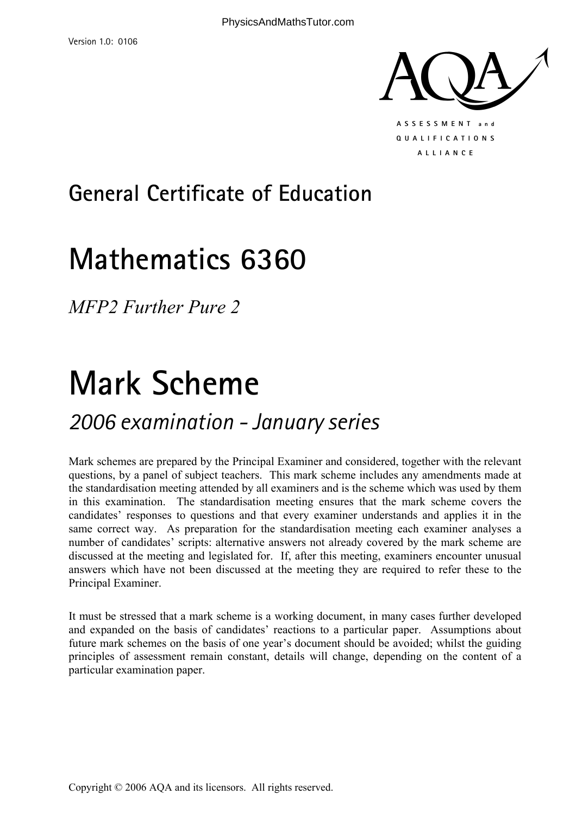

## **General Certificate of Education**

## **Mathematics 6360**

*MFP2 Further Pure 2* 

# **Mark Scheme**

### *2006 examination - January series*

Mark schemes are prepared by the Principal Examiner and considered, together with the relevant questions, by a panel of subject teachers. This mark scheme includes any amendments made at the standardisation meeting attended by all examiners and is the scheme which was used by them in this examination. The standardisation meeting ensures that the mark scheme covers the candidates' responses to questions and that every examiner understands and applies it in the same correct way. As preparation for the standardisation meeting each examiner analyses a number of candidates' scripts: alternative answers not already covered by the mark scheme are discussed at the meeting and legislated for. If, after this meeting, examiners encounter unusual answers which have not been discussed at the meeting they are required to refer these to the Principal Examiner.

It must be stressed that a mark scheme is a working document, in many cases further developed and expanded on the basis of candidates' reactions to a particular paper. Assumptions about future mark schemes on the basis of one year's document should be avoided; whilst the guiding principles of assessment remain constant, details will change, depending on the content of a particular examination paper.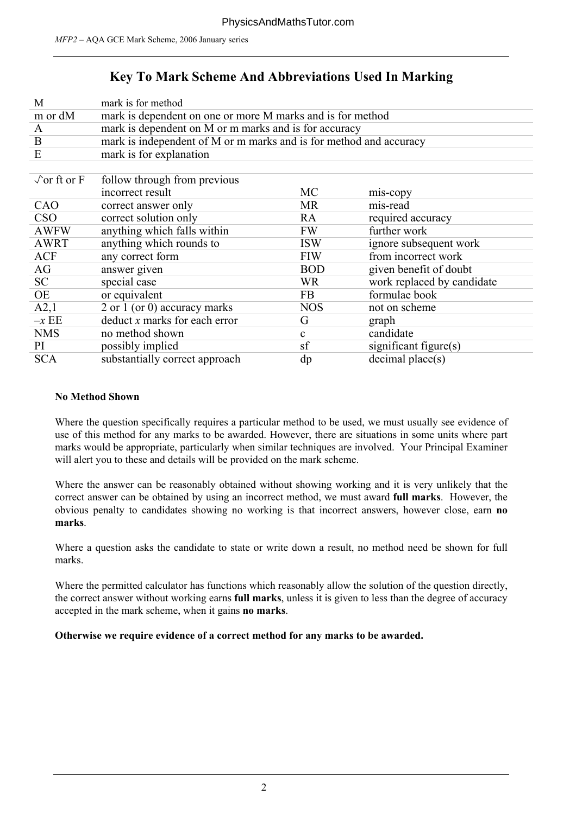#### **Key To Mark Scheme And Abbreviations Used In Marking**

| M                          | mark is for method                                                 |              |                            |  |  |  |
|----------------------------|--------------------------------------------------------------------|--------------|----------------------------|--|--|--|
| m or dM                    | mark is dependent on one or more M marks and is for method         |              |                            |  |  |  |
| A                          | mark is dependent on M or m marks and is for accuracy              |              |                            |  |  |  |
| B                          | mark is independent of M or m marks and is for method and accuracy |              |                            |  |  |  |
| E                          | mark is for explanation                                            |              |                            |  |  |  |
|                            |                                                                    |              |                            |  |  |  |
| $\sqrt{\text{or ft or F}}$ | follow through from previous                                       |              |                            |  |  |  |
|                            | incorrect result                                                   | <b>MC</b>    | mis-copy                   |  |  |  |
| CAO                        | correct answer only                                                | <b>MR</b>    | mis-read                   |  |  |  |
| <b>CSO</b>                 | correct solution only                                              | RA           | required accuracy          |  |  |  |
| <b>AWFW</b>                | anything which falls within                                        | <b>FW</b>    | further work               |  |  |  |
| <b>AWRT</b>                | anything which rounds to                                           | <b>ISW</b>   | ignore subsequent work     |  |  |  |
| <b>ACF</b>                 | any correct form                                                   | <b>FIW</b>   | from incorrect work        |  |  |  |
| AG                         | answer given                                                       | <b>BOD</b>   | given benefit of doubt     |  |  |  |
| SC                         | special case                                                       | <b>WR</b>    | work replaced by candidate |  |  |  |
| OE                         | or equivalent                                                      | FB           | formulae book              |  |  |  |
| A2,1                       | 2 or 1 (or 0) accuracy marks                                       | <b>NOS</b>   | not on scheme              |  |  |  |
| $-xEE$                     | $deduct x$ marks for each error                                    | G            | graph                      |  |  |  |
| <b>NMS</b>                 | no method shown                                                    | $\mathbf{c}$ | candidate                  |  |  |  |
| PI                         | possibly implied                                                   | sf           | significant figure $(s)$   |  |  |  |
| <b>SCA</b>                 | substantially correct approach                                     | dp           | decimal place(s)           |  |  |  |
|                            |                                                                    |              |                            |  |  |  |

#### **No Method Shown**

Where the question specifically requires a particular method to be used, we must usually see evidence of use of this method for any marks to be awarded. However, there are situations in some units where part marks would be appropriate, particularly when similar techniques are involved. Your Principal Examiner will alert you to these and details will be provided on the mark scheme.

Where the answer can be reasonably obtained without showing working and it is very unlikely that the correct answer can be obtained by using an incorrect method, we must award **full marks**. However, the obvious penalty to candidates showing no working is that incorrect answers, however close, earn **no marks**.

Where a question asks the candidate to state or write down a result, no method need be shown for full marks.

Where the permitted calculator has functions which reasonably allow the solution of the question directly, the correct answer without working earns **full marks**, unless it is given to less than the degree of accuracy accepted in the mark scheme, when it gains **no marks**.

**Otherwise we require evidence of a correct method for any marks to be awarded.**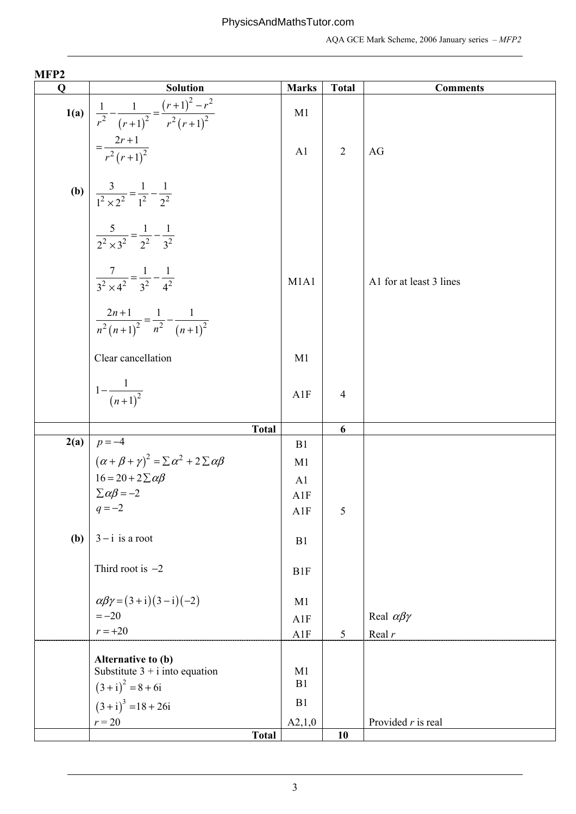| MFP <sub>2</sub> |                                                                                                                                    |                      |                |                          |
|------------------|------------------------------------------------------------------------------------------------------------------------------------|----------------------|----------------|--------------------------|
| $\mathbf 0$      | <b>Solution</b>                                                                                                                    | <b>Marks</b>         | <b>Total</b>   | <b>Comments</b>          |
|                  | <b>1(a)</b> $\frac{1}{r^2} - \frac{1}{(r+1)^2} = \frac{(r+1)^2 - r^2}{r^2 (r+1)^2}$<br>= $\frac{2r+1}{r^2 (r+1)^2}$                | M <sub>1</sub>       |                |                          |
|                  |                                                                                                                                    | A1                   | $\overline{2}$ | AG                       |
|                  | <b>(b)</b> $\frac{3}{1^2 \times 2^2} = \frac{1}{1^2} - \frac{1}{2^2}$                                                              |                      |                |                          |
|                  | $\frac{5}{2^2 \times 3^2} = \frac{1}{2^2} - \frac{1}{3^2}$                                                                         |                      |                |                          |
|                  | $\frac{7}{3^2 \times 4^2} = \frac{1}{3^2} - \frac{1}{4^2}$                                                                         | M1A1                 |                | A1 for at least 3 lines  |
|                  | $\frac{2n+1}{n^2(n+1)^2} = \frac{1}{n^2} - \frac{1}{(n+1)^2}$                                                                      |                      |                |                          |
|                  | Clear cancellation                                                                                                                 | M1                   |                |                          |
|                  | $1-\frac{1}{(n+1)^2}$                                                                                                              | A1F                  | $\overline{4}$ |                          |
|                  | <b>Total</b>                                                                                                                       |                      | 6              |                          |
|                  | <b>2(a)</b> $p = -4$                                                                                                               | B <sub>1</sub>       |                |                          |
|                  |                                                                                                                                    | M <sub>1</sub>       |                |                          |
|                  |                                                                                                                                    | A1                   |                |                          |
|                  | $(\alpha + \beta + \gamma)^2 = \sum \alpha^2 + 2 \sum \alpha \beta$<br>16 = 20 + 2 $\sum \alpha \beta$<br>$\sum \alpha \beta = -2$ | A1F                  |                |                          |
|                  | $q = -2$                                                                                                                           | A1F                  | 5              |                          |
| (b)              | $3 - i$ is a root                                                                                                                  | B1                   |                |                          |
|                  | Third root is $-2$                                                                                                                 | B <sub>1F</sub>      |                |                          |
|                  | $\alpha\beta\gamma = (3+i)(3-i)(-2)$                                                                                               | M1                   |                |                          |
|                  | $=-20$                                                                                                                             | A1F                  |                | Real $\alpha\beta\gamma$ |
|                  | $r = +20$                                                                                                                          | A1F                  | $\sqrt{5}$     | Real $r$                 |
|                  | Alternative to (b)<br>Substitute $3 + i$ into equation                                                                             | M <sub>1</sub><br>B1 |                |                          |
|                  | $(3+i)^2 = 8 + 6i$                                                                                                                 | B1                   |                |                          |
|                  | $(3+i)^3 = 18 + 26i$                                                                                                               |                      |                |                          |
|                  | $r = 20$<br><b>Total</b>                                                                                                           | A2,1,0               | 10             | Provided $r$ is real     |
|                  |                                                                                                                                    |                      |                |                          |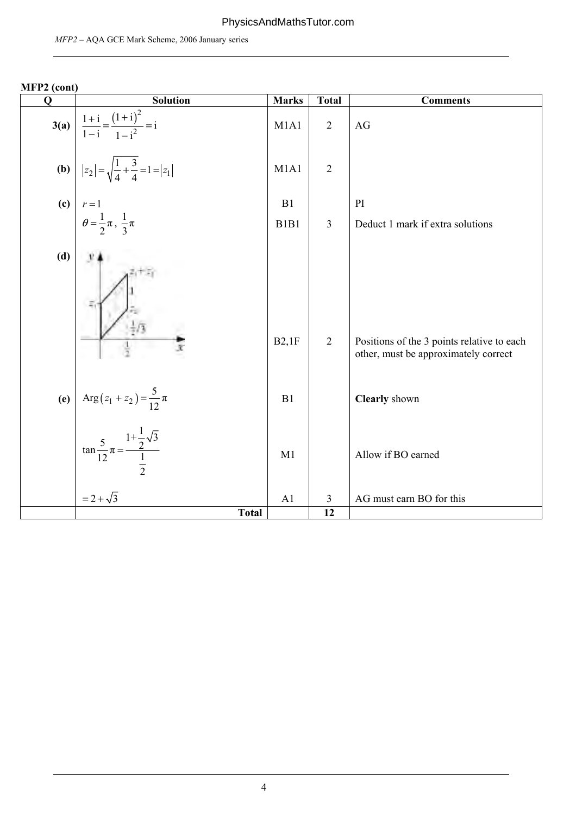#### PhysicsAndMathsTutor.com

| MFP2 (cont) |                                                                       |                               |                |                                                                                    |
|-------------|-----------------------------------------------------------------------|-------------------------------|----------------|------------------------------------------------------------------------------------|
| Q           | <b>Solution</b>                                                       | <b>Marks</b>                  | <b>Total</b>   | <b>Comments</b>                                                                    |
| 3(a)        | $\frac{1+i}{1-i} = \frac{(1+i)^2}{1-i^2} = i$                         | M1A1                          | $\overline{2}$ | AG                                                                                 |
|             | <b>(b)</b> $ z_2  = \sqrt{\frac{1}{4} + \frac{3}{4}} = 1 =  z_1 $     | M1A1                          | $\overline{2}$ |                                                                                    |
| (c)         | $r=1$                                                                 | B1                            |                | PI                                                                                 |
|             | $heta = \frac{1}{2}\pi$ , $\frac{1}{3}\pi$                            | B <sub>1</sub> B <sub>1</sub> | $\overline{3}$ | Deduct 1 mark if extra solutions                                                   |
| (d)         |                                                                       |                               |                |                                                                                    |
|             |                                                                       | B2,1F                         | $\overline{2}$ | Positions of the 3 points relative to each<br>other, must be approximately correct |
| (e)         | Arg $(z_1 + z_2) = \frac{5}{12} \pi$                                  | B1                            |                | Clearly shown                                                                      |
|             | $\tan \frac{5}{12} \pi = \frac{1 + \frac{1}{2}\sqrt{3}}{\frac{1}{2}}$ | M1                            |                | Allow if BO earned                                                                 |
|             | $= 2 + \sqrt{3}$                                                      | A <sub>1</sub>                | 3              | AG must earn BO for this                                                           |
|             | <b>Total</b>                                                          |                               | 12             |                                                                                    |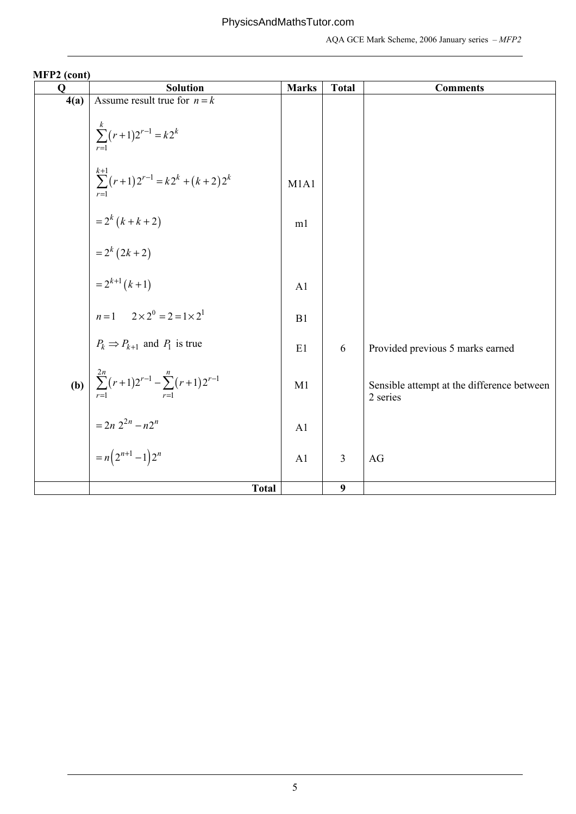| 1111177<br>$\mathbf 0$ | <b>Solution</b>                                                                                                                                                                    | <b>Marks</b>   | <b>Total</b> | <b>Comments</b>                                        |
|------------------------|------------------------------------------------------------------------------------------------------------------------------------------------------------------------------------|----------------|--------------|--------------------------------------------------------|
| 4(a)                   | Assume result true for $n = k$                                                                                                                                                     |                |              |                                                        |
|                        | $\sum_{r=1}^{k} (r+1)2^{r-1} = k2^{k}$                                                                                                                                             |                |              |                                                        |
|                        | $\sum_{r=1}^{k+1} (r+1) 2^{r-1} = k 2^k + (k+2) 2^k$                                                                                                                               | M1A1           |              |                                                        |
|                        | = $2^{k} (k + k + 2)$<br>= $2^{k} (2k + 2)$<br>= $2^{k+1} (k + 1)$                                                                                                                 | m1             |              |                                                        |
|                        |                                                                                                                                                                                    |                |              |                                                        |
|                        |                                                                                                                                                                                    | A <sub>1</sub> |              |                                                        |
|                        | $n=1$ $2 \times 2^0 = 2 = 1 \times 2^1$                                                                                                                                            | B1             |              |                                                        |
|                        |                                                                                                                                                                                    | E1             | 6            | Provided previous 5 marks earned                       |
|                        | <b>(b)</b> $P_k \Rightarrow P_{k+1}$ and $P_1$ is true<br><b>(b)</b> $\sum_{r=1}^{2n} (r+1)2^{r-1} - \sum_{r=1}^{n} (r+1)2^{r-1}$<br>$= 2n 2^{2n} - n2^n$<br>$= n(2^{n+1} - 1)2^n$ | M1             |              | Sensible attempt at the difference between<br>2 series |
|                        |                                                                                                                                                                                    | A <sub>1</sub> |              |                                                        |
|                        |                                                                                                                                                                                    | A1             | 3            | AG                                                     |
|                        | <b>Total</b>                                                                                                                                                                       |                | 9            |                                                        |

**MFP2 (cont)**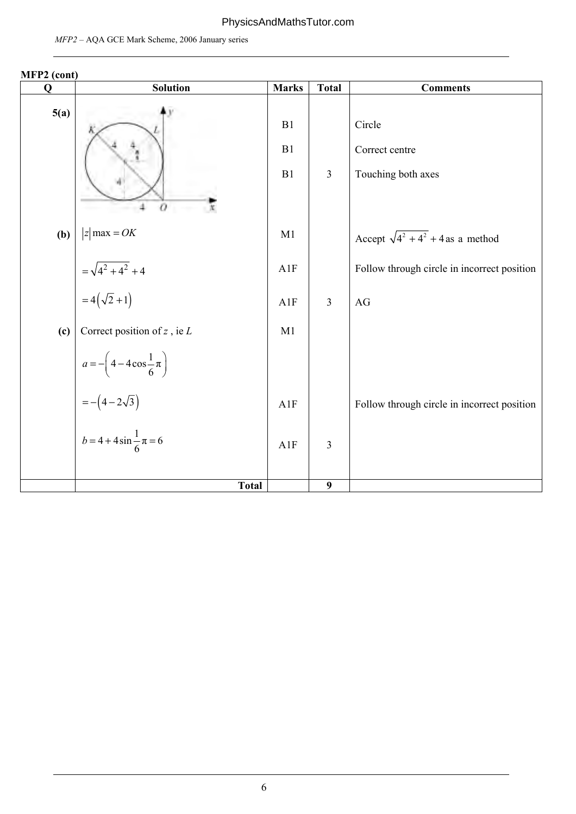#### PhysicsAndMathsTutor.com

| <b>IVIT 1 2</b> (COIIL)<br>$\mathbf 0$ | <b>Solution</b>                             | <b>Marks</b>   | <b>Total</b>     | <b>Comments</b>                                |
|----------------------------------------|---------------------------------------------|----------------|------------------|------------------------------------------------|
| 5(a)                                   | o                                           | B1<br>B1<br>B1 | $\mathfrak{Z}$   | Circle<br>Correct centre<br>Touching both axes |
| (b)                                    | $ z $ max = OK                              | M1             |                  | Accept $\sqrt{4^2 + 4^2} + 4$ as a method      |
|                                        | $=\sqrt{4^2+4^2}+4$                         | A1F            |                  | Follow through circle in incorrect position    |
|                                        | $=4(\sqrt{2}+1)$                            | A1F            | $\overline{3}$   | AG                                             |
| (c)                                    | Correct position of $z$ , ie $L$            | M1             |                  |                                                |
|                                        | $a = -\left(4 - 4\cos\frac{1}{6}\pi\right)$ |                |                  |                                                |
|                                        | $= -(4-2\sqrt{3})$                          | A1F            |                  | Follow through circle in incorrect position    |
|                                        | $b = 4 + 4\sin{\frac{1}{6}}\pi = 6$         | A1F            | $\mathfrak{Z}$   |                                                |
|                                        | <b>Total</b>                                |                | $\boldsymbol{9}$ |                                                |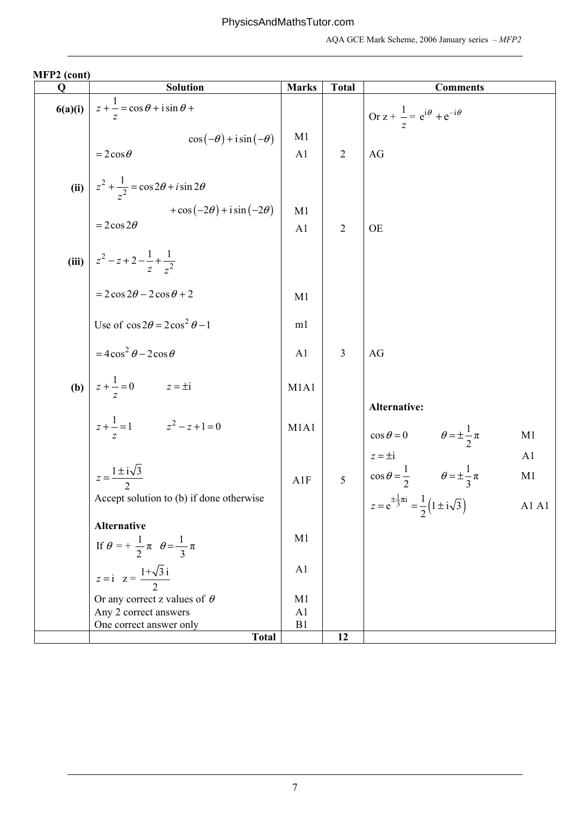| $11112$ (cone)<br>Q | <b>Solution</b>                                         | <b>Marks</b>   | <b>Total</b>   | <b>Comments</b>                                                                                           |
|---------------------|---------------------------------------------------------|----------------|----------------|-----------------------------------------------------------------------------------------------------------|
| 6(a)(i)             | $z + \frac{1}{z} = \cos \theta + i \sin \theta +$       |                |                | Or $z + \frac{1}{z} = e^{i\theta} + e^{-i\theta}$                                                         |
|                     | $\cos(-\theta) + i \sin(-\theta)$                       | M1             |                |                                                                                                           |
|                     | $=2\cos\theta$                                          | A1             | $\overline{2}$ | AG                                                                                                        |
| (ii)                | $z^2 + \frac{1}{z^2} = \cos 2\theta + i \sin 2\theta$   |                |                |                                                                                                           |
|                     | $+\cos(-2\theta) + i\sin(-2\theta)$                     | M1             |                |                                                                                                           |
|                     | $=2\cos 2\theta$                                        | A1             | $\overline{2}$ | <b>OE</b>                                                                                                 |
|                     | (iii) $z^2 - z + 2 - \frac{1}{z} + \frac{1}{z^2}$       |                |                |                                                                                                           |
|                     | $=2\cos 2\theta - 2\cos \theta + 2$                     | M1             |                |                                                                                                           |
|                     | Use of $\cos 2\theta = 2\cos^2 \theta - 1$              | m1             |                |                                                                                                           |
|                     | $=4\cos^2\theta-2\cos\theta$                            | A1             | 3              | AG                                                                                                        |
| (b)                 | $z + \frac{1}{z} = 0$ $z = \pm i$                       | M1A1           |                |                                                                                                           |
|                     | $z + \frac{1}{z} = 1$ $z^2 - z + 1 = 0$                 | M1A1           |                | Alternative:<br>$\cos \theta = 0$ $\theta = \pm \frac{1}{2} \pi$<br>M <sub>1</sub>                        |
|                     |                                                         |                |                | A <sub>1</sub>                                                                                            |
|                     | $z=\frac{1\pm i\sqrt{3}}{2}$                            | A1F            |                | $\begin{cases}\nz = \pm i \\ \cos \theta = \frac{1}{2}\n\end{cases}$ $\theta = \pm \frac{1}{3} \pi$<br>M1 |
|                     | Accept solution to (b) if done otherwise                |                |                | $z = e^{\pm \frac{1}{3}\pi i} = \frac{1}{2} (1 \pm i \sqrt{3})$<br>A1 A1                                  |
|                     | <b>Alternative</b>                                      |                |                |                                                                                                           |
|                     | If $\theta = +\frac{1}{2}\pi$ $\theta = \frac{1}{3}\pi$ | M <sub>1</sub> |                |                                                                                                           |
|                     | $z = i$ $z = \frac{1 + \sqrt{3}i}{2}$                   | A1             |                |                                                                                                           |
|                     | Or any correct z values of $\theta$                     | M1             |                |                                                                                                           |
|                     | Any 2 correct answers                                   | A1             |                |                                                                                                           |
|                     | One correct answer only<br><b>Total</b>                 | B <sub>1</sub> | 12             |                                                                                                           |